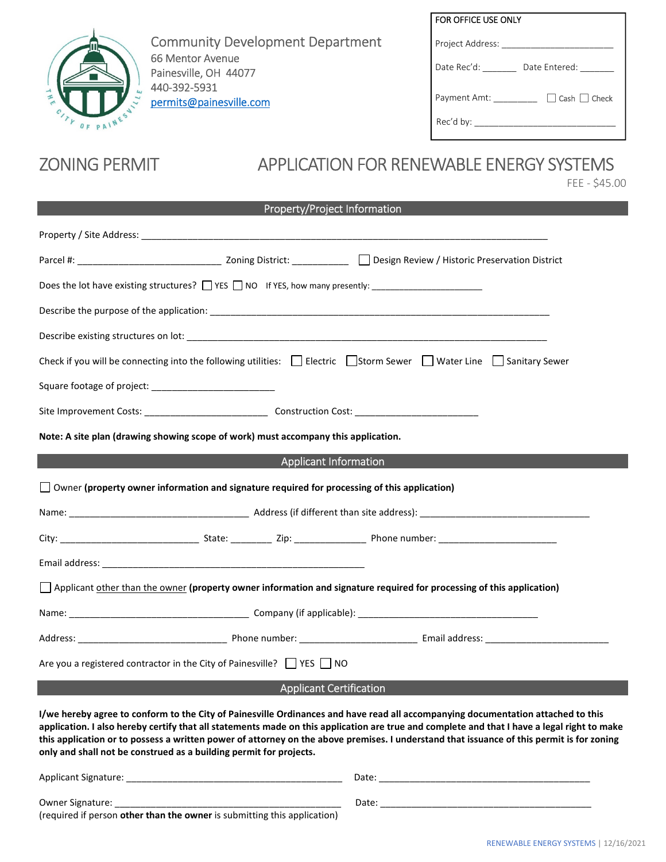

Community Development Department 66 Mentor Avenue Painesville, OH 44077 440-392-5931 permits@painesville.com

| FOR OFFICE USE ONLY                      |  |
|------------------------------------------|--|
| Project Address:                         |  |
| Date Rec'd:<br>Date Entered:             |  |
| $\Box$ Cash $\Box$ Check<br>Payment Amt: |  |
| Rec'd by:                                |  |

# ZONING PERMIT APPLICATION FOR RENEWABLE ENERGY SYSTEMS

FEE - \$45.00

| Property/Project Information                                       |                                                                                                     |                                                                                                                                                                                                                                                                                                                                                                                                                              |  |  |
|--------------------------------------------------------------------|-----------------------------------------------------------------------------------------------------|------------------------------------------------------------------------------------------------------------------------------------------------------------------------------------------------------------------------------------------------------------------------------------------------------------------------------------------------------------------------------------------------------------------------------|--|--|
|                                                                    |                                                                                                     |                                                                                                                                                                                                                                                                                                                                                                                                                              |  |  |
|                                                                    |                                                                                                     |                                                                                                                                                                                                                                                                                                                                                                                                                              |  |  |
|                                                                    |                                                                                                     |                                                                                                                                                                                                                                                                                                                                                                                                                              |  |  |
|                                                                    |                                                                                                     |                                                                                                                                                                                                                                                                                                                                                                                                                              |  |  |
|                                                                    |                                                                                                     |                                                                                                                                                                                                                                                                                                                                                                                                                              |  |  |
|                                                                    |                                                                                                     | Check if you will be connecting into the following utilities: $\Box$ Electric $\Box$ Storm Sewer $\Box$ Water Line $\Box$ Sanitary Sewer                                                                                                                                                                                                                                                                                     |  |  |
|                                                                    |                                                                                                     |                                                                                                                                                                                                                                                                                                                                                                                                                              |  |  |
|                                                                    |                                                                                                     |                                                                                                                                                                                                                                                                                                                                                                                                                              |  |  |
|                                                                    | Note: A site plan (drawing showing scope of work) must accompany this application.                  |                                                                                                                                                                                                                                                                                                                                                                                                                              |  |  |
|                                                                    | <b>Applicant Information</b>                                                                        |                                                                                                                                                                                                                                                                                                                                                                                                                              |  |  |
|                                                                    | $\Box$ Owner (property owner information and signature required for processing of this application) |                                                                                                                                                                                                                                                                                                                                                                                                                              |  |  |
|                                                                    |                                                                                                     |                                                                                                                                                                                                                                                                                                                                                                                                                              |  |  |
|                                                                    |                                                                                                     |                                                                                                                                                                                                                                                                                                                                                                                                                              |  |  |
|                                                                    |                                                                                                     |                                                                                                                                                                                                                                                                                                                                                                                                                              |  |  |
|                                                                    |                                                                                                     | Applicant other than the owner (property owner information and signature required for processing of this application)                                                                                                                                                                                                                                                                                                        |  |  |
|                                                                    |                                                                                                     |                                                                                                                                                                                                                                                                                                                                                                                                                              |  |  |
|                                                                    |                                                                                                     |                                                                                                                                                                                                                                                                                                                                                                                                                              |  |  |
|                                                                    | Are you a registered contractor in the City of Painesville? $\Box$ YES $\Box$ NO                    |                                                                                                                                                                                                                                                                                                                                                                                                                              |  |  |
|                                                                    | <b>Applicant Certification</b>                                                                      |                                                                                                                                                                                                                                                                                                                                                                                                                              |  |  |
| only and shall not be construed as a building permit for projects. |                                                                                                     | I/we hereby agree to conform to the City of Painesville Ordinances and have read all accompanying documentation attached to this<br>application. I also hereby certify that all statements made on this application are true and complete and that I have a legal right to make<br>this application or to possess a written power of attorney on the above premises. I understand that issuance of this permit is for zoning |  |  |

| <b>Applicant Signature:</b>                                              | Date: |
|--------------------------------------------------------------------------|-------|
| <b>Owner Signature:</b>                                                  | Date: |
| (required if person other than the owner is submitting this application) |       |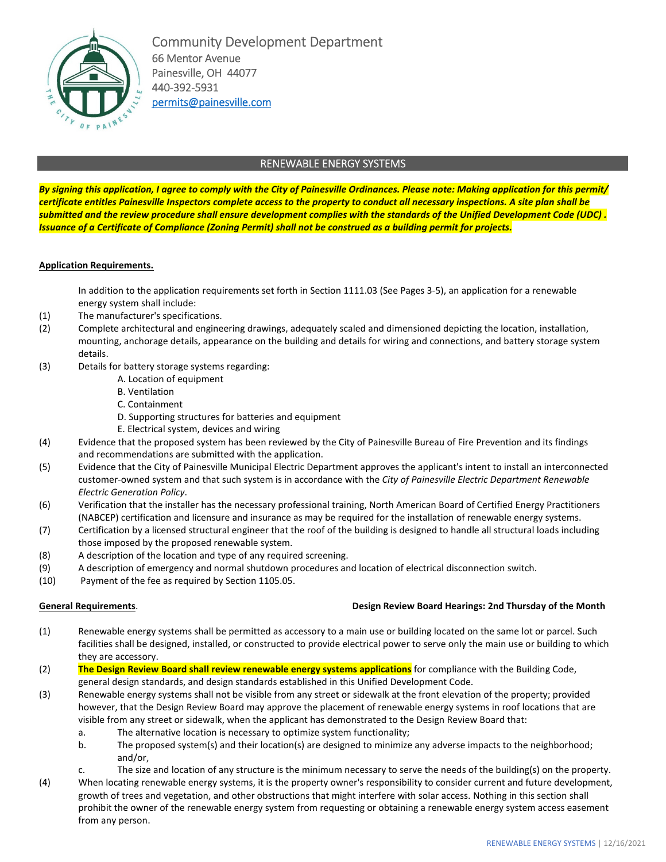

Community Development Department 66 Mentor Avenue Painesville, OH 44077 440-392-5931 permits@painesville.com

# RENEWABLE ENERGY SYSTEMS

*By signing this application, I agree to comply with the City of Painesville Ordinances. Please note: Making application for this permit/ certificate entitles Painesville Inspectors complete access to the property to conduct all necessary inspections. A site plan shall be submitted and the review procedure shall ensure development complies with the standards of the Unified Development Code (UDC) . Issuance of a Certificate of Compliance (Zoning Permit) shall not be construed as a building permit for projects.* 

# **Application Requirements.**

In addition to the application requirements set forth in Section 1111.03 (See Pages 3-5), an application for a renewable energy system shall include:

- (1) The manufacturer's specifications.
- (2) Complete architectural and engineering drawings, adequately scaled and dimensioned depicting the location, installation, mounting, anchorage details, appearance on the building and details for wiring and connections, and battery storage system details.
- (3) Details for battery storage systems regarding:
	- A. Location of equipment
	- B. Ventilation
	- C. Containment
	- D. Supporting structures for batteries and equipment
	- E. Electrical system, devices and wiring
- (4) Evidence that the proposed system has been reviewed by the City of Painesville Bureau of Fire Prevention and its findings and recommendations are submitted with the application.
- (5) Evidence that the City of Painesville Municipal Electric Department approves the applicant's intent to install an interconnected customer-owned system and that such system is in accordance with the *City of Painesville Electric Department Renewable Electric Generation Policy*.
- (6) Verification that the installer has the necessary professional training, North American Board of Certified Energy Practitioners (NABCEP) certification and licensure and insurance as may be required for the installation of renewable energy systems.
- (7) Certification by a licensed structural engineer that the roof of the building is designed to handle all structural loads including those imposed by the proposed renewable system.
- (8) A description of the location and type of any required screening.
- (9) A description of emergency and normal shutdown procedures and location of electrical disconnection switch.
- (10) Payment of the fee as required by Section 1105.05.

# **General Requirements**. **Design Review Board Hearings: 2nd Thursday of the Month**

- (1) Renewable energy systems shall be permitted as accessory to a main use or building located on the same lot or parcel. Such facilities shall be designed, installed, or constructed to provide electrical power to serve only the main use or building to which they are accessory.
- (2) **The Design Review Board shall review renewable energy systems applications** for compliance with the Building Code, general design standards, and design standards established in this Unified Development Code.
- (3) Renewable energy systems shall not be visible from any street or sidewalk at the front elevation of the property; provided however, that the Design Review Board may approve the placement of renewable energy systems in roof locations that are visible from any street or sidewalk, when the applicant has demonstrated to the Design Review Board that:
	- a. The alternative location is necessary to optimize system functionality;
	- b. The proposed system(s) and their location(s) are designed to minimize any adverse impacts to the neighborhood; and/or,
	- c. The size and location of any structure is the minimum necessary to serve the needs of the building(s) on the property.
- (4) When locating renewable energy systems, it is the property owner's responsibility to consider current and future development, growth of trees and vegetation, and other obstructions that might interfere with solar access. Nothing in this section shall prohibit the owner of the renewable energy system from requesting or obtaining a renewable energy system access easement from any person.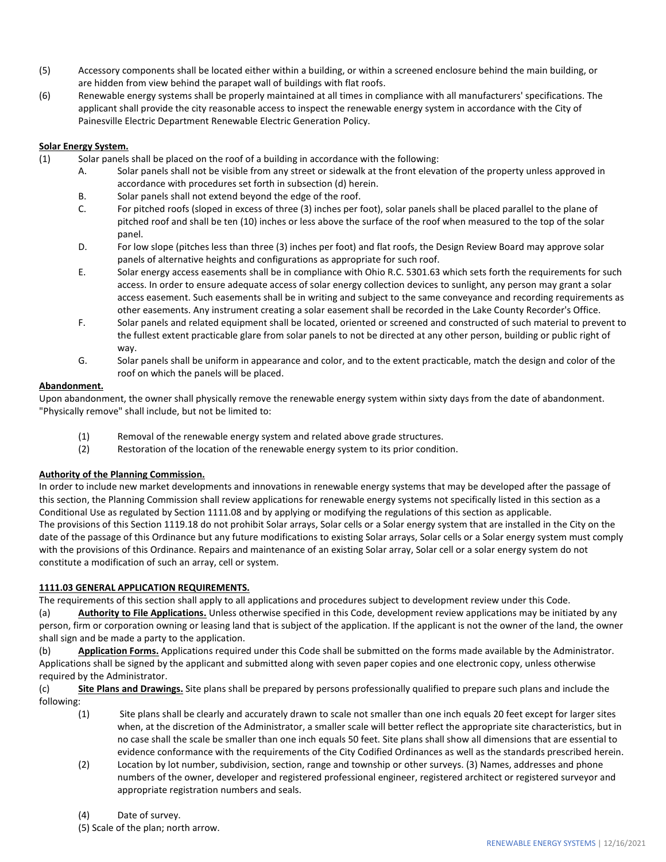- (5) Accessory components shall be located either within a building, or within a screened enclosure behind the main building, or are hidden from view behind the parapet wall of buildings with flat roofs.
- (6) Renewable energy systems shall be properly maintained at all times in compliance with all manufacturers' specifications. The applicant shall provide the city reasonable access to inspect the renewable energy system in accordance with the City of Painesville Electric Department Renewable Electric Generation Policy.

# **Solar Energy System.**

- (1) Solar panels shall be placed on the roof of a building in accordance with the following:
	- A. Solar panels shall not be visible from any street or sidewalk at the front elevation of the property unless approved in accordance with procedures set forth in subsection (d) herein.
		- B. Solar panels shall not extend beyond the edge of the roof.
		- C. For pitched roofs (sloped in excess of three (3) inches per foot), solar panels shall be placed parallel to the plane of pitched roof and shall be ten (10) inches or less above the surface of the roof when measured to the top of the solar panel.
		- D. For low slope (pitches less than three (3) inches per foot) and flat roofs, the Design Review Board may approve solar panels of alternative heights and configurations as appropriate for such roof.
		- E. Solar energy access easements shall be in compliance with Ohio R.C. 5301.63 which sets forth the requirements for such access. In order to ensure adequate access of solar energy collection devices to sunlight, any person may grant a solar access easement. Such easements shall be in writing and subject to the same conveyance and recording requirements as other easements. Any instrument creating a solar easement shall be recorded in the Lake County Recorder's Office.
		- F. Solar panels and related equipment shall be located, oriented or screened and constructed of such material to prevent to the fullest extent practicable glare from solar panels to not be directed at any other person, building or public right of way.
		- G. Solar panels shall be uniform in appearance and color, and to the extent practicable, match the design and color of the roof on which the panels will be placed.

# **Abandonment.**

Upon abandonment, the owner shall physically remove the renewable energy system within sixty days from the date of abandonment. "Physically remove" shall include, but not be limited to:

- (1) Removal of the renewable energy system and related above grade structures.
- (2) Restoration of the location of the renewable energy system to its prior condition.

# **Authority of the Planning Commission.**

In order to include new market developments and innovations in renewable energy systems that may be developed after the passage of this section, the Planning Commission shall review applications for renewable energy systems not specifically listed in this section as a Conditional Use as regulated by Section 1111.08 and by applying or modifying the regulations of this section as applicable. The provisions of this Section 1119.18 do not prohibit Solar arrays, Solar cells or a Solar energy system that are installed in the City on the date of the passage of this Ordinance but any future modifications to existing Solar arrays, Solar cells or a Solar energy system must comply with the provisions of this Ordinance. Repairs and maintenance of an existing Solar array, Solar cell or a solar energy system do not constitute a modification of such an array, cell or system.

# **1111.03 GENERAL APPLICATION REQUIREMENTS.**

The requirements of this section shall apply to all applications and procedures subject to development review under this Code.

(a) **Authority to File Applications.** Unless otherwise specified in this Code, development review applications may be initiated by any person, firm or corporation owning or leasing land that is subject of the application. If the applicant is not the owner of the land, the owner shall sign and be made a party to the application.

(b) **Application Forms.** Applications required under this Code shall be submitted on the forms made available by the Administrator. Applications shall be signed by the applicant and submitted along with seven paper copies and one electronic copy, unless otherwise required by the Administrator.

(c) **Site Plans and Drawings.** Site plans shall be prepared by persons professionally qualified to prepare such plans and include the following:

- (1) Site plans shall be clearly and accurately drawn to scale not smaller than one inch equals 20 feet except for larger sites when, at the discretion of the Administrator, a smaller scale will better reflect the appropriate site characteristics, but in no case shall the scale be smaller than one inch equals 50 feet. Site plans shall show all dimensions that are essential to evidence conformance with the requirements of the City Codified Ordinances as well as the standards prescribed herein.
- (2) Location by lot number, subdivision, section, range and township or other surveys. (3) Names, addresses and phone numbers of the owner, developer and registered professional engineer, registered architect or registered surveyor and appropriate registration numbers and seals.
- (4) Date of survey.

(5) Scale of the plan; north arrow.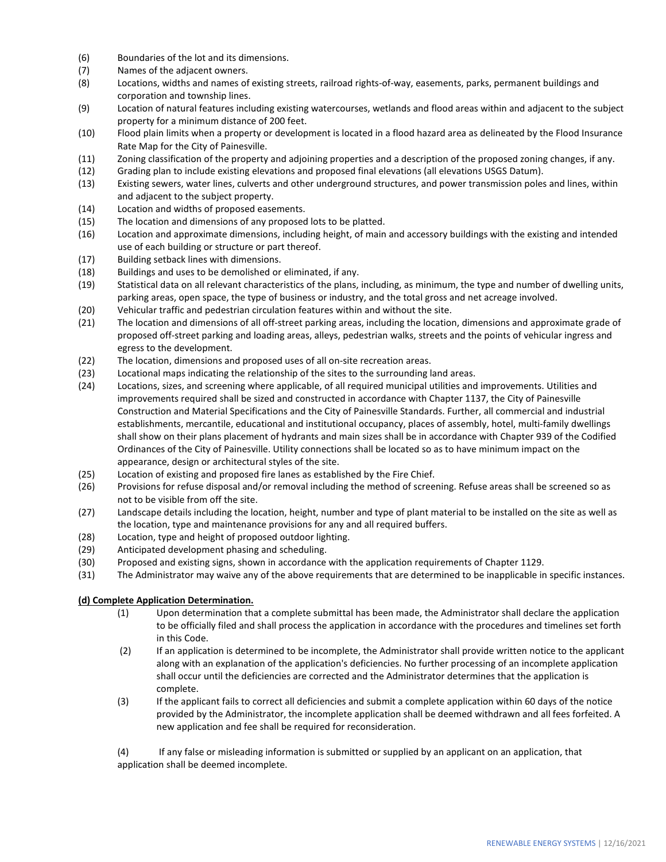- (6) Boundaries of the lot and its dimensions.
- (7) Names of the adjacent owners.
- (8) Locations, widths and names of existing streets, railroad rights-of-way, easements, parks, permanent buildings and corporation and township lines.
- (9) Location of natural features including existing watercourses, wetlands and flood areas within and adjacent to the subject property for a minimum distance of 200 feet.
- (10) Flood plain limits when a property or development is located in a flood hazard area as delineated by the Flood Insurance Rate Map for the City of Painesville.
- (11) Zoning classification of the property and adjoining properties and a description of the proposed zoning changes, if any.
- (12) Grading plan to include existing elevations and proposed final elevations (all elevations USGS Datum).
- (13) Existing sewers, water lines, culverts and other underground structures, and power transmission poles and lines, within and adjacent to the subject property.
- (14) Location and widths of proposed easements.
- (15) The location and dimensions of any proposed lots to be platted.
- (16) Location and approximate dimensions, including height, of main and accessory buildings with the existing and intended use of each building or structure or part thereof.
- (17) Building setback lines with dimensions.
- (18) Buildings and uses to be demolished or eliminated, if any.
- (19) Statistical data on all relevant characteristics of the plans, including, as minimum, the type and number of dwelling units, parking areas, open space, the type of business or industry, and the total gross and net acreage involved.
- (20) Vehicular traffic and pedestrian circulation features within and without the site.
- (21) The location and dimensions of all off-street parking areas, including the location, dimensions and approximate grade of proposed off-street parking and loading areas, alleys, pedestrian walks, streets and the points of vehicular ingress and egress to the development.
- (22) The location, dimensions and proposed uses of all on-site recreation areas.
- (23) Locational maps indicating the relationship of the sites to the surrounding land areas.
- (24) Locations, sizes, and screening where applicable, of all required municipal utilities and improvements. Utilities and improvements required shall be sized and constructed in accordance with Chapter 1137, the City of Painesville Construction and Material Specifications and the City of Painesville Standards. Further, all commercial and industrial establishments, mercantile, educational and institutional occupancy, places of assembly, hotel, multi-family dwellings shall show on their plans placement of hydrants and main sizes shall be in accordance with Chapter 939 of the Codified Ordinances of the City of Painesville. Utility connections shall be located so as to have minimum impact on the appearance, design or architectural styles of the site.
- (25) Location of existing and proposed fire lanes as established by the Fire Chief.
- (26) Provisions for refuse disposal and/or removal including the method of screening. Refuse areas shall be screened so as not to be visible from off the site.
- (27) Landscape details including the location, height, number and type of plant material to be installed on the site as well as the location, type and maintenance provisions for any and all required buffers.
- (28) Location, type and height of proposed outdoor lighting.
- (29) Anticipated development phasing and scheduling.
- (30) Proposed and existing signs, shown in accordance with the application requirements of Chapter 1129.
- (31) The Administrator may waive any of the above requirements that are determined to be inapplicable in specific instances.

# **(d) Complete Application Determination.**

- (1) Upon determination that a complete submittal has been made, the Administrator shall declare the application to be officially filed and shall process the application in accordance with the procedures and timelines set forth in this Code.
- (2) If an application is determined to be incomplete, the Administrator shall provide written notice to the applicant along with an explanation of the application's deficiencies. No further processing of an incomplete application shall occur until the deficiencies are corrected and the Administrator determines that the application is complete.
- (3) If the applicant fails to correct all deficiencies and submit a complete application within 60 days of the notice provided by the Administrator, the incomplete application shall be deemed withdrawn and all fees forfeited. A new application and fee shall be required for reconsideration.

(4) If any false or misleading information is submitted or supplied by an applicant on an application, that application shall be deemed incomplete.